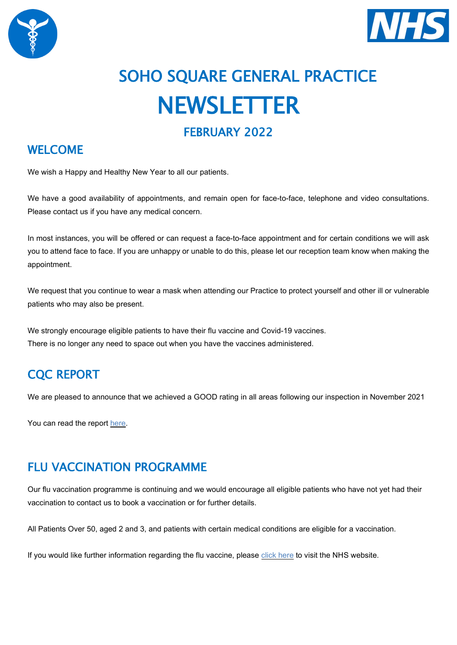



# SOHO SQUARE GENERAL PRACTICE **NEWSLETTER**

#### WELCOME

We wish a Happy and Healthy New Year to all our patients.

We have a good availability of appointments, and remain open for face-to-face, telephone and video consultations. Please contact us if you have any medical concern.

In most instances, you will be offered or can request a face-to-face appointment and for certain conditions we will ask you to attend face to face. If you are unhappy or unable to do this, please let our reception team know when making the appointment.

We request that you continue to wear a mask when attending our Practice to protect yourself and other ill or vulnerable patients who may also be present.

We strongly encourage eligible patients to have their flu vaccine and Covid-19 vaccines. There is no longer any need to space out when you have the vaccines administered.

# CQC REPORT

We are pleased to announce that we achieved a GOOD rating in all areas following our inspection in November 2021

You can read the report [here.](https://www.cqc.org.uk/location/1-9012708041/reports)

# FLU VACCINATION PROGRAMME

Our flu vaccination programme is continuing and we would encourage all eligible patients who have not yet had their vaccination to contact us to book a vaccination or for further details.

All Patients Over 50, aged 2 and 3, and patients with certain medical conditions are eligible for a vaccination.

If you would like further information regarding the flu vaccine, please click [here](https://www.nhs.uk/conditions/vaccinations/flu-influenza-vaccine/?gclid=Cj0KCQjwtrSLBhCLARIsACh6RmhDne97CV8l9dEhmyVnuouV1JU3-odkk7BmXcfL4_ypsh99M5E0m1UaAt46EALw_wcB&gclsrc=aw.ds) to visit the NHS website.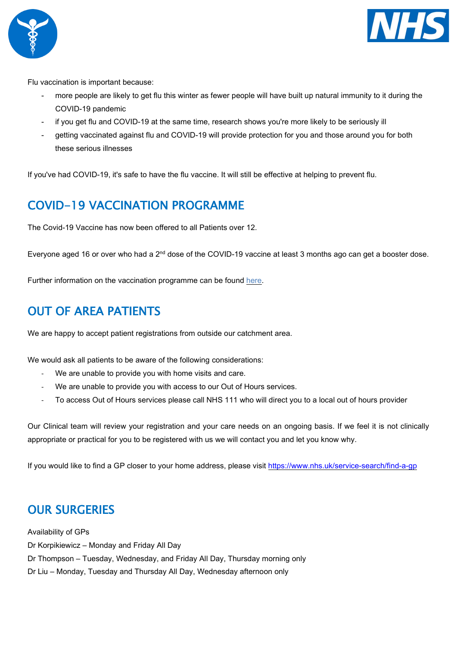



Flu vaccination is important because:

- more people are likely to get flu this winter as fewer people will have built up natural immunity to it during the COVID-19 pandemic
- if you get flu and COVID-19 at the same time, research shows you're more likely to be seriously ill
- getting vaccinated against flu and COVID-19 will provide protection for you and those around you for both these serious illnesses

If you've had COVID-19, it's safe to have the flu vaccine. It will still be effective at helping to prevent flu.

# COVID-19 VACCINATION PROGRAMME

The Covid-19 Vaccine has now been offered to all Patients over 12.

Everyone aged 16 or over who had a 2<sup>nd</sup> dose of the COVID-19 vaccine at least 3 months ago can get a booster dose.

Further information on the vaccination programme can be found [here.](https://www.nhs.uk/conditions/coronavirus-covid-19/coronavirus-vaccination/coronavirus-vaccine-for-children-aged-12-to-15/)

### OUT OF AREA PATIENTS

We are happy to accept patient registrations from outside our catchment area.

We would ask all patients to be aware of the following considerations:

- We are unable to provide you with home visits and care.
- We are unable to provide you with access to our Out of Hours services.
- To access Out of Hours services please call NHS 111 who will direct you to a local out of hours provider

Our Clinical team will review your registration and your care needs on an ongoing basis. If we feel it is not clinically appropriate or practical for you to be registered with us we will contact you and let you know why.

If you would like to find a GP closer to your home address, please visit<https://www.nhs.uk/service-search/find-a-gp>

#### OUR SURGERIES

Availability of GPs Dr Korpikiewicz – Monday and Friday All Day Dr Thompson – Tuesday, Wednesday, and Friday All Day, Thursday morning only Dr Liu – Monday, Tuesday and Thursday All Day, Wednesday afternoon only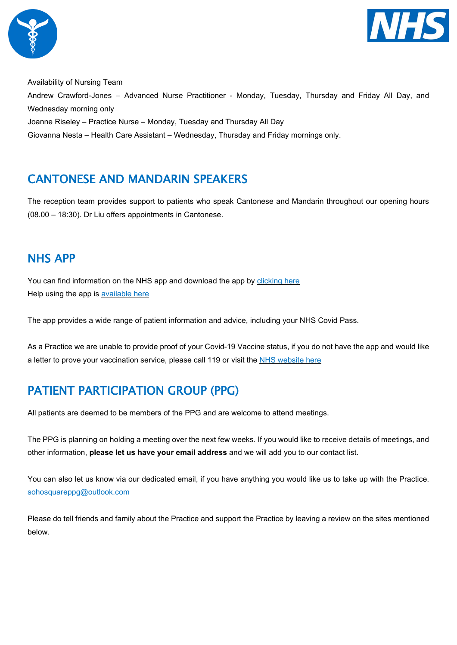



Availability of Nursing Team Andrew Crawford-Jones – Advanced Nurse Practitioner - Monday, Tuesday, Thursday and Friday All Day, and Wednesday morning only Joanne Riseley – Practice Nurse – Monday, Tuesday and Thursday All Day Giovanna Nesta – Health Care Assistant – Wednesday, Thursday and Friday mornings only.

# CANTONESE AND MANDARIN SPEAKERS

The reception team provides support to patients who speak Cantonese and Mandarin throughout our opening hours (08.00 – 18:30). Dr Liu offers appointments in Cantonese.

#### NHS APP

You can find information on the NHS app and download the app by [clicking](https://www.nhs.uk/nhs-app/) here Help using the app is [available](https://www.nhs.uk/nhs-app/nhs-app-help-and-support/) here

The app provides a wide range of patient information and advice, including your NHS Covid Pass.

As a Practice we are unable to provide proof of your Covid-19 Vaccine status, if you do not have the app and would like a letter to prove your vaccination service, please call 119 or visit the NHS [website](https://www.nhs.uk/conditions/coronavirus-covid-19/covid-pass/get-your-covid-pass-letter/) here

# PATIENT PARTICIPATION GROUP (PPG)

All patients are deemed to be members of the PPG and are welcome to attend meetings.

The PPG is planning on holding a meeting over the next few weeks. If you would like to receive details of meetings, and other information, **please let us have your email address** and we will add you to our contact list.

You can also let us know via our dedicated email, if you have anything you would like us to take up with the Practice. [sohosquareppg@outlook.com](mailto:sohosquareppg@outlook.com)

Please do tell friends and family about the Practice and support the Practice by leaving a review on the sites mentioned below.